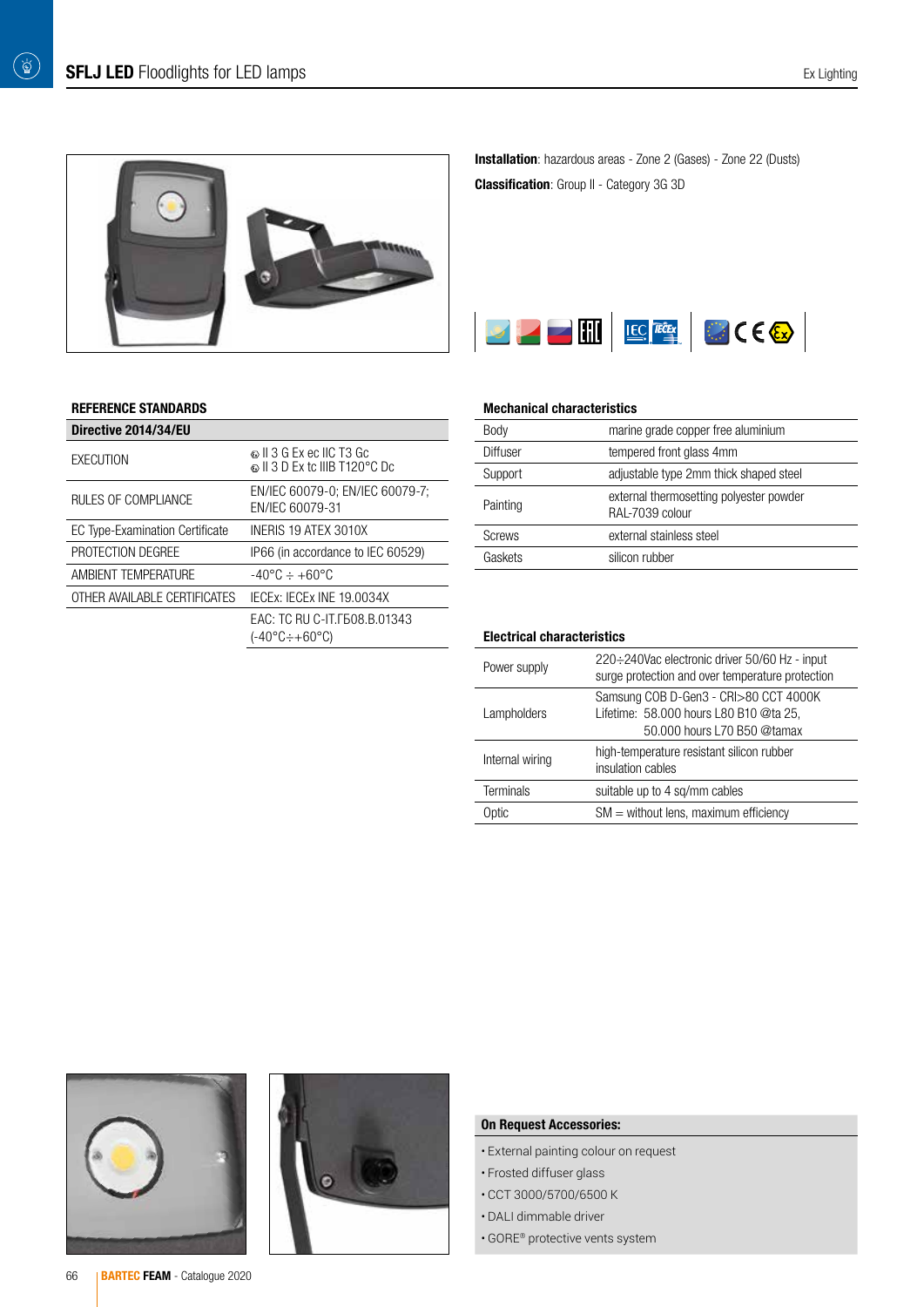

### REFERENCE STANDARDS

| Directive 2014/34/EU                   |                                                                    |
|----------------------------------------|--------------------------------------------------------------------|
| EXECUTION                              | © II 3 G Ex ec IIC T3 Gc<br>© II 3 D Ex to IIIB T120°C Do          |
| RULES OF COMPLIANCE                    | EN/IEC 60079-0; EN/IEC 60079-7;<br>FN/IFC 60079-31                 |
| <b>EC Type-Examination Certificate</b> | INERIS 19 ATEX 3010X                                               |
| PROTECTION DEGREE                      | IP66 (in accordance to IEC 60529)                                  |
| AMBIENT TEMPERATURE                    | $-40^{\circ}$ C $\div$ +60°C                                       |
| OTHER AVAILABLE CERTIFICATES           | IECEX: IECEX INE 19.0034X                                          |
|                                        | FAC: TC RU C-IT F508 B 01343<br>$(-40^{\circ}C \div +60^{\circ}C)$ |
|                                        |                                                                    |

Installation: hazardous areas - Zone 2 (Gases) - Zone 22 (Dusts) Classification: Group II - Category 3G 3D



#### Mechanical characteristics

| Body          | marine grade copper free aluminium                         |
|---------------|------------------------------------------------------------|
| Diffuser      | tempered front glass 4mm                                   |
| Support       | adjustable type 2mm thick shaped steel                     |
| Painting      | external thermosetting polyester powder<br>RAL-7039 colour |
| <b>Screws</b> | external stainless steel                                   |
| Gaskets       | silicon rubber                                             |

#### Electrical characteristics

| Power supply     | 220÷240Vac electronic driver 50/60 Hz - input<br>surge protection and over temperature protection              |
|------------------|----------------------------------------------------------------------------------------------------------------|
| Lampholders      | Samsung COB D-Gen3 - CRI>80 CCT 4000K<br>Lifetime: 58.000 hours L80 B10 @ta 25,<br>50,000 hours L70 B50 @tamax |
| Internal wiring  | high-temperature resistant silicon rubber<br>insulation cables                                                 |
| <b>Terminals</b> | suitable up to 4 sq/mm cables                                                                                  |
| Optic            | $SM =$ without lens, maximum efficiency                                                                        |





## On Request Accessories:

- External painting colour on request
- Frosted diffuser glass
- CCT 3000/5700/6500 K
- DALI dimmable driver
- GORE® protective vents system